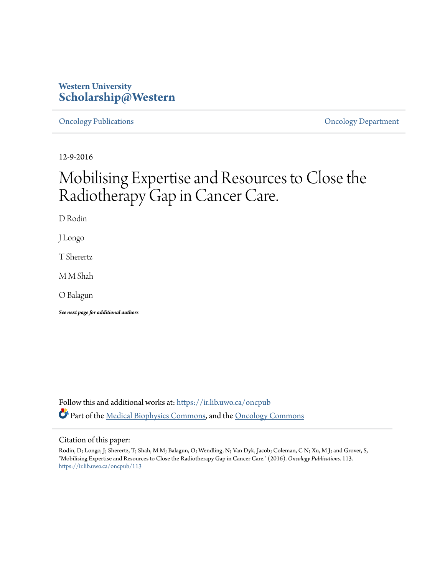# **Western University [Scholarship@Western](https://ir.lib.uwo.ca?utm_source=ir.lib.uwo.ca%2Foncpub%2F113&utm_medium=PDF&utm_campaign=PDFCoverPages)**

[Oncology Publications](https://ir.lib.uwo.ca/oncpub?utm_source=ir.lib.uwo.ca%2Foncpub%2F113&utm_medium=PDF&utm_campaign=PDFCoverPages) [Oncology Department](https://ir.lib.uwo.ca/onc?utm_source=ir.lib.uwo.ca%2Foncpub%2F113&utm_medium=PDF&utm_campaign=PDFCoverPages)

12-9-2016

# Mobilising Expertise and Resources to Close the Radiotherapy Gap in Cancer Care.

D Rodin

J Longo

T Sherertz

M M Shah

O Balagun

*See next page for additional authors*

Follow this and additional works at: [https://ir.lib.uwo.ca/oncpub](https://ir.lib.uwo.ca/oncpub?utm_source=ir.lib.uwo.ca%2Foncpub%2F113&utm_medium=PDF&utm_campaign=PDFCoverPages) Part of the [Medical Biophysics Commons,](http://network.bepress.com/hgg/discipline/668?utm_source=ir.lib.uwo.ca%2Foncpub%2F113&utm_medium=PDF&utm_campaign=PDFCoverPages) and the [Oncology Commons](http://network.bepress.com/hgg/discipline/694?utm_source=ir.lib.uwo.ca%2Foncpub%2F113&utm_medium=PDF&utm_campaign=PDFCoverPages)

#### Citation of this paper:

Rodin, D; Longo, J; Sherertz, T; Shah, M M; Balagun, O; Wendling, N; Van Dyk, Jacob; Coleman, C N; Xu, M J; and Grover, S, "Mobilising Expertise and Resources to Close the Radiotherapy Gap in Cancer Care." (2016). *Oncology Publications*. 113. [https://ir.lib.uwo.ca/oncpub/113](https://ir.lib.uwo.ca/oncpub/113?utm_source=ir.lib.uwo.ca%2Foncpub%2F113&utm_medium=PDF&utm_campaign=PDFCoverPages)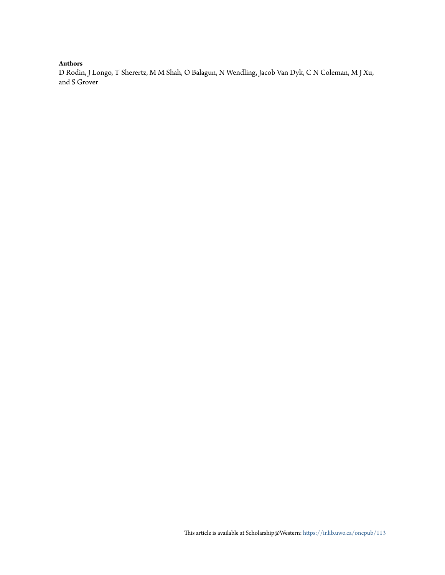#### **Authors**

D Rodin, J Longo, T Sherertz, M M Shah, O Balagun, N Wendling, Jacob Van Dyk, C N Coleman, M J Xu, and S Grover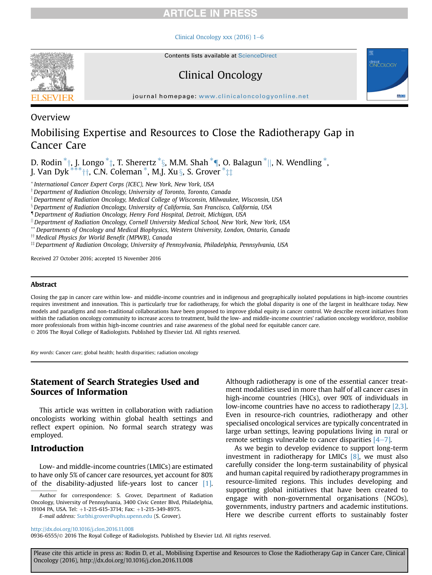# **RTICLE IN PRESS**

#### Clinical Oncology xxx (201[6](http://dx.doi.org/10.1016/j.clon.2016.11.008))  $1-6$



Contents lists available at ScienceDirect

# Clinical Oncology



journal homepage: [www.clinicaloncologyonline.net](http://www.clinicaloncologyonline.net)

#### Overview

# Mobilising Expertise and Resources to Close the Radiotherapy Gap in Cancer Care

D. Rodin  $^*$ †, J. Longo  $^*$ ‡, T. Sherertz  $^*$ §, M.M. Shah  $^*$ ¶, O. Balagun  $^*$ ||, N. Wendling  $^*$ , J. Van Dyk  $***$ <sup>++</sup>, C.N. Coleman  $*$ , M.J. Xu  $\S$ , S. Grover  $*$ <sup>+</sup> $\pm$ 

\* International Cancer Expert Corps (ICEC), New York, New York, USA

 $\dagger$ Department of Radiation Oncology, University of Toronto, Toronto, Canada

 $^{\ddagger}$ Department of Radiation Oncology, Medical College of Wisconsin, Milwaukee, Wisconsin, USA

 $\delta$  Department of Radiation Oncology, University of California, San Francisco, California, USA

{Department of Radiation Oncology, Henry Ford Hospital, Detroit, Michigan, USA

jjDepartment of Radiation Oncology, Cornell University Medical School, New York, New York, USA

\*\*Departments of Oncology and Medical Biophysics, Western University, London, Ontario, Canada

 $\dagger$  Medical Physics for World Benefit (MPWB), Canada

 $\ddot{\text{m}}$  Department of Radiation Oncology, University of Pennsylvania, Philadelphia, Pennsylvania, USA

Received 27 October 2016; accepted 15 November 2016

#### Abstract

Closing the gap in cancer care within low- and middle-income countries and in indigenous and geographically isolated populations in high-income countries requires investment and innovation. This is particularly true for radiotherapy, for which the global disparity is one of the largest in healthcare today. New models and paradigms and non-traditional collaborations have been proposed to improve global equity in cancer control. We describe recent initiatives from within the radiation oncology community to increase access to treatment, build the low- and middle-income countries' radiation oncology workforce, mobilise more professionals from within high-income countries and raise awareness of the global need for equitable cancer care. 2016 The Royal College of Radiologists. Published by Elsevier Ltd. All rights reserved.

Key words: Cancer care; global health; health disparities; radiation oncology

### Statement of Search Strategies Used and Sources of Information

This article was written in collaboration with radiation oncologists working within global health settings and reflect expert opinion. No formal search strategy was employed.

## Introduction

Low- and middle-income countries (LMICs) are estimated to have only 5% of cancer care resources, yet account for 80% of the disability-adjusted life-years lost to cancer [\[1\]](#page-6-0).

Author for correspondence: S. Grover, Department of Radiation Oncology, University of Pennsylvania, 3400 Civic Center Blvd, Philadelphia, 19104 PA, USA. Tel: +1-215-615-3714; Fax: +1-215-349-8975.

E-mail address: [Surbhi.grover@uphs.upenn.edu](mailto:Surbhi.grover@uphs.upenn.edu) (S. Grover).

Although radiotherapy is one of the essential cancer treatment modalities used in more than half of all cancer cases in high-income countries (HICs), over 90% of individuals in low-income countries have no access to radiotherapy [\[2,3\]](#page-6-0). Even in resource-rich countries, radiotherapy and other specialised oncological services are typically concentrated in large urban settings, leaving populations living in rural or remote settings vulnerable to cancer disparities  $[4-7]$  $[4-7]$ .

As we begin to develop evidence to support long-term investment in radiotherapy for LMICs  $[8]$ , we must also carefully consider the long-term sustainability of physical and human capital required by radiotherapy programmes in resource-limited regions. This includes developing and supporting global initiatives that have been created to engage with non-governmental organisations (NGOs), governments, industry partners and academic institutions. Here we describe current efforts to sustainably foster

<http://dx.doi.org/10.1016/j.clon.2016.11.008>

0936-6555/© 2016 The Royal College of Radiologists. Published by Elsevier Ltd. All rights reserved.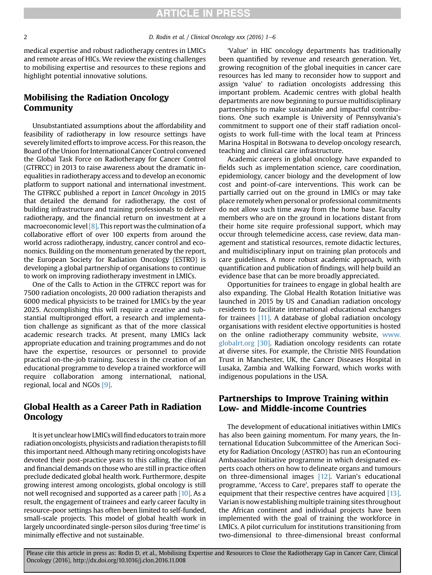medical expertise and robust radiotherapy centres in LMICs and remote areas of HICs. We review the existing challenges to mobilising expertise and resources to these regions and highlight potential innovative solutions.

## Mobilising the Radiation Oncology Community

Unsubstantiated assumptions about the affordability and feasibility of radiotherapy in low resource settings have severely limited efforts to improve access. For this reason, the Board of the Union for International Cancer Control convened the Global Task Force on Radiotherapy for Cancer Control (GTFRCC) in 2013 to raise awareness about the dramatic inequalities in radiotherapy access and to develop an economic platform to support national and international investment. The GTFRCC published a report in Lancet Oncology in 2015 that detailed the demand for radiotherapy, the cost of building infrastructure and training professionals to deliver radiotherapy, and the financial return on investment at a macroeconomic level[\[8\]](#page-6-0). This report was the culmination of a collaborative effort of over 100 experts from around the world across radiotherapy, industry, cancer control and economics. Building on the momentum generated by the report, the European Society for Radiation Oncology (ESTRO) is developing a global partnership of organisations to continue to work on improving radiotherapy investment in LMICs.

One of the Calls to Action in the GTFRCC report was for 7500 radiation oncologists, 20 000 radiation therapists and 6000 medical physicists to be trained for LMICs by the year 2025. Accomplishing this will require a creative and substantial multipronged effort, a research and implementation challenge as significant as that of the more classical academic research tracks. At present, many LMICs lack appropriate education and training programmes and do not have the expertise, resources or personnel to provide practical on-the-job training. Success in the creation of an educational programme to develop a trained workforce will require collaboration among international, national, regional, local and NGOs [\[9\]](#page-6-0).

### Global Health as a Career Path in Radiation **Oncology**

It is yet unclear how LMICs will find educators to train more radiation oncologists, physicists and radiation therapists tofill this important need. Although many retiring oncologists have devoted their post-practice years to this calling, the clinical and financial demands on those who are still in practice often preclude dedicated global health work. Furthermore, despite growing interest among oncologists, global oncology is still not well recognised and supported as a career path [\[10\].](#page-6-0) As a result, the engagement of trainees and early career faculty in resource-poor settings has often been limited to self-funded, small-scale projects. This model of global health work in largely uncoordinated single-person silos during 'free time' is minimally effective and not sustainable.

'Value' in HIC oncology departments has traditionally been quantified by revenue and research generation. Yet, growing recognition of the global inequities in cancer care resources has led many to reconsider how to support and assign 'value' to radiation oncologists addressing this important problem. Academic centres with global health departments are now beginning to pursue multidisciplinary partnerships to make sustainable and impactful contributions. One such example is University of Pennsylvania's commitment to support one of their staff radiation oncologists to work full-time with the local team at Princess Marina Hospital in Botswana to develop oncology research, teaching and clinical care infrastructure.

Academic careers in global oncology have expanded to fields such as implementation science, care coordination, epidemiology, cancer biology and the development of low cost and point-of-care interventions. This work can be partially carried out on the ground in LMICs or may take place remotely when personal or professional commitments do not allow such time away from the home base. Faculty members who are on the ground in locations distant from their home site require professional support, which may occur through telemedicine access, case review, data management and statistical resources, remote didactic lectures, and multidisciplinary input on training plan protocols and care guidelines. A more robust academic approach, with quantification and publication of findings, will help build an evidence base that can be more broadly appreciated.

Opportunities for trainees to engage in global health are also expanding. The Global Health Rotation Initiative was launched in 2015 by US and Canadian radiation oncology residents to facilitate international educational exchanges for trainees [\[11\]](#page-7-0). A database of global radiation oncology organisations with resident elective opportunities is hosted on the online radiotherapy community website, [www.](http://www.globalrt.org) [globalrt.org](http://www.globalrt.org) [\[30\]](#page-7-0). Radiation oncology residents can rotate at diverse sites. For example, the Christie NHS Foundation Trust in Manchester, UK, the Cancer Diseases Hospital in Lusaka, Zambia and Walking Forward, which works with indigenous populations in the USA.

### Partnerships to Improve Training within Low- and Middle-income Countries

The development of educational initiatives within LMICs has also been gaining momentum. For many years, the International Education Subcommittee of the American Society for Radiation Oncology (ASTRO) has run an eContouring Ambassador Initiative programme in which designated experts coach others on how to delineate organs and tumours on three-dimensional images [\[12\].](#page-7-0) Varian's educational programme, 'Access to Care', prepares staff to operate the equipment that their respective centres have acquired [\[13\].](#page-7-0) Varian is now establishing multiple training sites throughout the African continent and individual projects have been implemented with the goal of training the workforce in LMICs. A pilot curriculum for institutions transitioning from two-dimensional to three-dimensional breast conformal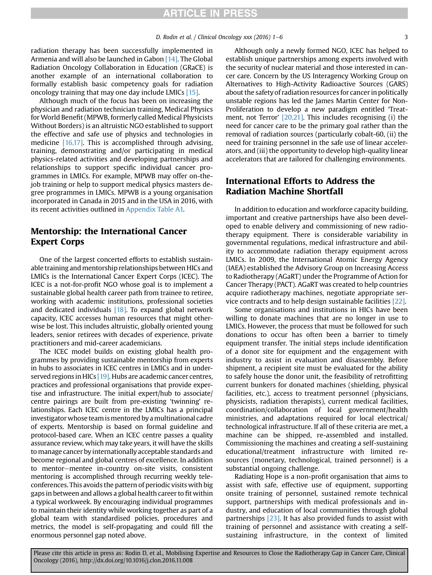radiation therapy has been successfully implemented in Armenia and will also be launched in Gabon [\[14\].](#page-7-0) The Global Radiation Oncology Collaboration in Education (GRaCE) is another example of an international collaboration to formally establish basic competency goals for radiation oncology training that may one day include LMICs [\[15\]](#page-7-0).

Although much of the focus has been on increasing the physician and radiation technician training, Medical Physics for World Benefit (MPWB, formerly called Medical Physicists Without Borders) is an altruistic NGO established to support the effective and safe use of physics and technologies in medicine [\[16,17\]](#page-7-0). This is accomplished through advising, training, demonstrating and/or participating in medical physics-related activities and developing partnerships and relationships to support specific individual cancer programmes in LMICs. For example, MPWB may offer on-thejob training or help to support medical physics masters degree programmes in LMICs. MPWB is a young organisation incorporated in Canada in 2015 and in the USA in 2016, with its recent activities outlined in [Appendix Table A1.](#page-5-0)

### Mentorship: the International Cancer Expert Corps

One of the largest concerted efforts to establish sustainable training and mentorship relationships between HICs and LMICs is the International Cancer Expert Corps (ICEC). The ICEC is a not-for-profit NGO whose goal is to implement a sustainable global health career path from trainee to retiree, working with academic institutions, professional societies and dedicated individuals [\[18\].](#page-7-0) To expand global network capacity, ICEC accesses human resources that might otherwise be lost. This includes altruistic, globally oriented young leaders, senior retirees with decades of experience, private practitioners and mid-career academicians.

The ICEC model builds on existing global health programmes by providing sustainable mentorship from experts in hubs to associates in ICEC centres in LMICs and in under-served regions in HICs [\[19\]](#page-7-0). Hubs are academic cancer centres, practices and professional organisations that provide expertise and infrastructure. The initial expert/hub to associate/ centre pairings are built from pre-existing 'twinning' relationships. Each ICEC centre in the LMICs has a principal investigator whose team is mentored by a multinational cadre of experts. Mentorship is based on formal guideline and protocol-based care. When an ICEC centre passes a quality assurance review, which may take years, it will have the skills to manage cancer by internationally acceptable standards and become regional and global centres of excellence. In addition to mentor-mentee in-country on-site visits, consistent mentoring is accomplished through recurring weekly teleconferences. This avoids the pattern of periodic visits with big gaps in between and allows a global health career to fit within a typical workweek. By encouraging individual programmes to maintain their identity while working together as part of a global team with standardised policies, procedures and metrics, the model is self-propagating and could fill the enormous personnel gap noted above.

Although only a newly formed NGO, ICEC has helped to establish unique partnerships among experts involved with the security of nuclear material and those interested in cancer care. Concern by the US Interagency Working Group on Alternatives to High-Activity Radioactive Sources (GARS) about the safety of radiation resources for cancer in politically unstable regions has led the James Martin Center for Non-Proliferation to develop a new paradigm entitled 'Treatment, not Terror' [\[20,21\].](#page-7-0) This includes recognising (i) the need for cancer care to be the primary goal rather than the removal of radiation sources (particularly cobalt-60, (ii) the need for training personnel in the safe use of linear accelerators, and (iii) the opportunity to develop high-quality linear accelerators that are tailored for challenging environments.

## International Efforts to Address the Radiation Machine Shortfall

In addition to education and workforce capacity building, important and creative partnerships have also been developed to enable delivery and commissioning of new radiotherapy equipment. There is considerable variability in governmental regulations, medical infrastructure and ability to accommodate radiation therapy equipment across LMICs. In 2009, the International Atomic Energy Agency (IAEA) established the Advisory Group on Increasing Access to Radiotherapy (AGaRT) under the Programme of Action for Cancer Therapy (PACT). AGaRT was created to help countries acquire radiotherapy machines, negotiate appropriate service contracts and to help design sustainable facilities [\[22\]](#page-7-0).

Some organisations and institutions in HICs have been willing to donate machines that are no longer in use to LMICs. However, the process that must be followed for such donations to occur has often been a barrier to timely equipment transfer. The initial steps include identification of a donor site for equipment and the engagement with industry to assist in evaluation and disassembly. Before shipment, a recipient site must be evaluated for the ability to safely house the donor unit, the feasibility of retrofitting current bunkers for donated machines (shielding, physical facilities, etc.), access to treatment personnel (physicians, physicists, radiation therapists), current medical facilities, coordination/collaboration of local government/health ministries, and adaptations required for local electrical/ technological infrastructure. If all of these criteria are met, a machine can be shipped, re-assembled and installed. Commissioning the machines and creating a self-sustaining educational/treatment infrastructure with limited resources (monetary, technological, trained personnel) is a substantial ongoing challenge.

Radiating Hope is a non-profit organisation that aims to assist with safe, effective use of equipment, supporting onsite training of personnel, sustained remote technical support, partnerships with medical professionals and industry, and education of local communities through global partnerships [\[23\].](#page-7-0) It has also provided funds to assist with training of personnel and assistance with creating a selfsustaining infrastructure, in the context of limited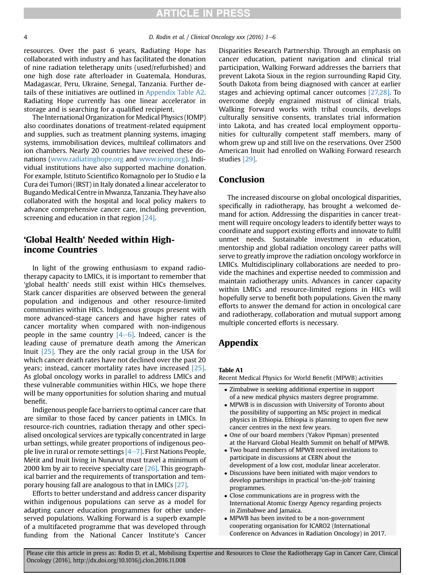<span id="page-5-0"></span>resources. Over the past 6 years, Radiating Hope has collaborated with industry and has facilitated the donation of nine radiation teletherapy units (used/refurbished) and one high dose rate afterloader in Guatemala, Honduras, Madagascar, Peru, Ukraine, Senegal, Tanzania. Further details of these initiatives are outlined in Appendix Table A2. Radiating Hope currently has one linear accelerator in storage and is searching for a qualified recipient.

The International Organization for Medical Physics (IOMP) also coordinates donations of treatment-related equipment and supplies, such as treatment planning systems, imaging systems, immobilisation devices, multileaf collimators and ion chambers. Nearly 20 countries have received these donations [\(www.radiatinghope.org](http://www.radiatinghope.org) and [www.iomp.org](http://www.iomp.org)). Individual institutions have also supported machine donation. For example, Istituto Scientifico Romagnolo per lo Studio e la Cura dei Tumori (IRST) in Italy donated a linear accelerator to Bugando Medical Centre in Mwanza, Tanzania. They have also collaborated with the hospital and local policy makers to advance comprehensive cancer care, including prevention, screening and education in that region [\[24\]](#page-7-0).

## 'Global Health' Needed within Highincome Countries

In light of the growing enthusiasm to expand radiotherapy capacity to LMICs, it is important to remember that 'global health' needs still exist within HICs themselves. Stark cancer disparities are observed between the general population and indigenous and other resource-limited communities within HICs. Indigenous groups present with more advanced-stage cancers and have higher rates of cancer mortality when compared with non-indigenous people in the same country  $[4-6]$  $[4-6]$ . Indeed, cancer is the leading cause of premature death among the American Inuit [\[25\]](#page-7-0). They are the only racial group in the USA for which cancer death rates have not declined over the past 20 years; instead, cancer mortality rates have increased [\[25\].](#page-7-0) As global oncology works in parallel to address LMICs and these vulnerable communities within HICs, we hope there will be many opportunities for solution sharing and mutual benefit.

Indigenous people face barriers to optimal cancer care that are similar to those faced by cancer patients in LMICs. In resource-rich countries, radiation therapy and other specialised oncological services are typically concentrated in large urban settings, while greater proportions of indigenous people live in rural or remote settings  $[4-7]$  $[4-7]$  $[4-7]$ . First Nations People, Métit and Inuit living in Nunavut must travel a minimum of 2000 km by air to receive specialty care [\[26\].](#page-7-0) This geographical barrier and the requirements of transportation and temporary housing fall are analogous to that in LMICs [\[27\].](#page-7-0)

Efforts to better understand and address cancer disparity within indigenous populations can serve as a model for adapting cancer education programmes for other underserved populations. Walking Forward is a superb example of a multifaceted programme that was developed through funding from the National Cancer Institute's Cancer Disparities Research Partnership. Through an emphasis on cancer education, patient navigation and clinical trial participation, Walking Forward addresses the barriers that prevent Lakota Sioux in the region surrounding Rapid City, South Dakota from being diagnosed with cancer at earlier stages and achieving optimal cancer outcomes [\[27,28\]](#page-7-0). To overcome deeply engrained mistrust of clinical trials, Walking Forward works with tribal councils, develops culturally sensitive consents, translates trial information into Lakota, and has created local employment opportunities for culturally competent staff members, many of whom grew up and still live on the reservations. Over 2500 American Inuit had enrolled on Walking Forward research studies [\[29\]](#page-7-0).

## Conclusion

The increased discourse on global oncological disparities, specifically in radiotherapy, has brought a welcomed demand for action. Addressing the disparities in cancer treatment will require oncology leaders to identify better ways to coordinate and support existing efforts and innovate to fulfil unmet needs. Sustainable investment in education, mentorship and global radiation oncology career paths will serve to greatly improve the radiation oncology workforce in LMICs. Multidisciplinary collaborations are needed to provide the machines and expertise needed to commission and maintain radiotherapy units. Advances in cancer capacity within LMICs and resource-limited regions in HICs will hopefully serve to benefit both populations. Given the many efforts to answer the demand for action in oncological care and radiotherapy, collaboration and mutual support among multiple concerted efforts is necessary.

#### Appendix

#### Table A1

Recent Medical Physics for World Benefit (MPWB) activities

- Zimbabwe is seeking additional expertise in support of a new medical physics masters degree programme.
- MPWB is in discussion with University of Toronto about the possibility of supporting an MSc project in medical physics in Ethiopia. Ethiopia is planning to open five new cancer centres in the next few years.
- One of our board members (Yakov Pipman) presented at the Harvard Global Health Summit on behalf of MPWB.
- Two board members of MPWB received invitations to participate in discussions at CERN about the development of a low cost, modular linear accelerator.
- Discussions have been initiated with major vendors to develop partnerships in practical 'on-the-job' training programmes.
- Close communications are in progress with the International Atomic Energy Agency regarding projects in Zimbabwe and Jamaica.
- MPWB has been invited to be a non-government cooperating organisation for ICARO2 (International Conference on Advances in Radiation Oncology) in 2017.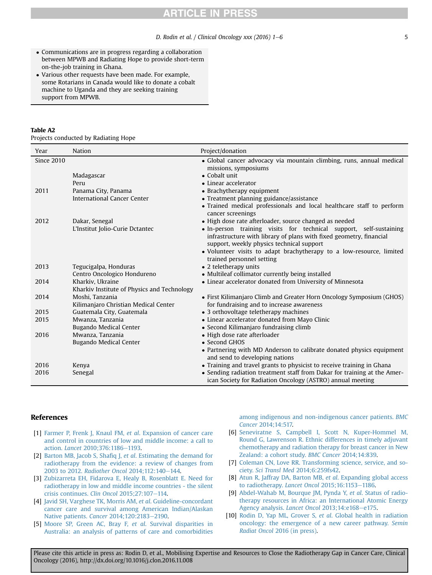- <span id="page-6-0"></span>- Communications are in progress regarding a collaboration between MPWB and Radiating Hope to provide short-term on-the-job training in Ghana.
- Various other requests have been made. For example, some Rotarians in Canada would like to donate a cobalt machine to Uganda and they are seeking training support from MPWB.

#### Table A2

Projects conducted by Radiating Hope

| Year              | Nation                                      | Project/donation                                                                                                                                                                       |
|-------------------|---------------------------------------------|----------------------------------------------------------------------------------------------------------------------------------------------------------------------------------------|
| <b>Since 2010</b> |                                             | • Global cancer advocacy via mountain climbing, runs, annual medical                                                                                                                   |
|                   |                                             | missions, symposiums                                                                                                                                                                   |
|                   | Madagascar                                  | • Cobalt unit                                                                                                                                                                          |
|                   | Peru                                        | • Linear accelerator                                                                                                                                                                   |
| 2011              | Panama City, Panama                         | • Brachytherapy equipment                                                                                                                                                              |
|                   | <b>International Cancer Center</b>          | • Treatment planning guidance/assistance                                                                                                                                               |
|                   |                                             | • Trained medical professionals and local healthcare staff to perform<br>cancer screenings                                                                                             |
| 2012              | Dakar, Senegal                              | • High dose rate afterloader, source changed as needed                                                                                                                                 |
|                   | L'Institut Jolio-Curie Dctantec             | • In-person training visits for technical support, self-sustaining<br>infrastructure with library of plans with fixed geometry, financial<br>support, weekly physics technical support |
|                   |                                             | · Volunteer visits to adapt brachytherapy to a low-resource, limited<br>trained personnel setting                                                                                      |
| 2013              | Tegucigalpa, Honduras                       | • 2 teletherapy units                                                                                                                                                                  |
|                   | Centro Oncologico Hondureno                 | • Multileaf collimator currently being installed                                                                                                                                       |
| 2014              | Kharkiv, Ukraine                            | • Linear accelerator donated from University of Minnesota                                                                                                                              |
|                   | Kharkiv Institute of Physics and Technology |                                                                                                                                                                                        |
| 2014              | Moshi, Tanzania                             | • First Kilimanjaro Climb and Greater Horn Oncology Symposium (GHOS)                                                                                                                   |
|                   | Kilimanjaro Christian Medical Center        | for fundraising and to increase awareness                                                                                                                                              |
| 2015              | Guatemala City, Guatemala                   | • 3 orthovoltage teletherapy machines                                                                                                                                                  |
| 2015              | Mwanza, Tanzania                            | • Linear accelerator donated from Mayo Clinic                                                                                                                                          |
|                   | Bugando Medical Center                      | • Second Kilimanjaro fundraising climb                                                                                                                                                 |
| 2016              | Mwanza, Tanzania                            | • High dose rate afterloader                                                                                                                                                           |
|                   | <b>Bugando Medical Center</b>               | • Second GHOS                                                                                                                                                                          |
|                   |                                             | • Partnering with MD Anderson to calibrate donated physics equipment<br>and send to developing nations                                                                                 |
| 2016              | Kenya                                       | • Training and travel grants to physicist to receive training in Ghana                                                                                                                 |
| 2016              | Senegal                                     | • Sending radiation treatment staff from Dakar for training at the Amer-<br>ican Society for Radiation Oncology (ASTRO) annual meeting                                                 |

#### References

- [1] [Farmer P, Frenk J, Knaul FM,](http://refhub.elsevier.com/S0936-6555(16)30408-3/sref1) et al. Expansion of cancer care [and control in countries of low and middle income: a call to](http://refhub.elsevier.com/S0936-6555(16)30408-3/sref1) action. Lancet [2010;376:1186](http://refhub.elsevier.com/S0936-6555(16)30408-3/sref1)-[1193.](http://refhub.elsevier.com/S0936-6555(16)30408-3/sref1)
- [2] Barton MB, Jacob S, Shafiq J, et al[. Estimating the demand for](http://refhub.elsevier.com/S0936-6555(16)30408-3/sref2) [radiotherapy from the evidence: a review of changes from](http://refhub.elsevier.com/S0936-6555(16)30408-3/sref2) 2003 to 2012. [Radiother Oncol](http://refhub.elsevier.com/S0936-6555(16)30408-3/sref2) 2014;112:140-[144](http://refhub.elsevier.com/S0936-6555(16)30408-3/sref2).
- [3] [Zubizarreta EH, Fidarova E, Healy B, Rosenblatt E. Need for](http://refhub.elsevier.com/S0936-6555(16)30408-3/sref3) [radiotherapy in low and middle income countries - the silent](http://refhub.elsevier.com/S0936-6555(16)30408-3/sref3) [crisis continues.](http://refhub.elsevier.com/S0936-6555(16)30408-3/sref3) Clin Oncol 2015;27:107-[114](http://refhub.elsevier.com/S0936-6555(16)30408-3/sref3).
- [4] [Javid SH, Varghese TK, Morris AM,](http://refhub.elsevier.com/S0936-6555(16)30408-3/sref4) et al. Guideline-concordant [cancer care and survival among American Indian/Alaskan](http://refhub.elsevier.com/S0936-6555(16)30408-3/sref4) [Native patients.](http://refhub.elsevier.com/S0936-6555(16)30408-3/sref4) Cancer 2014;120:2183-[2190.](http://refhub.elsevier.com/S0936-6555(16)30408-3/sref4)
- [5] [Moore SP, Green AC, Bray F,](http://refhub.elsevier.com/S0936-6555(16)30408-3/sref5) et al. Survival disparities in [Australia: an analysis of patterns of care and comorbidities](http://refhub.elsevier.com/S0936-6555(16)30408-3/sref5)

[among indigenous and non-indigenous cancer patients.](http://refhub.elsevier.com/S0936-6555(16)30408-3/sref5) BMC Cancer [2014;14:517.](http://refhub.elsevier.com/S0936-6555(16)30408-3/sref5)

- [6] [Seneviratne S, Campbell I, Scott N, Kuper-Hommel M,](http://refhub.elsevier.com/S0936-6555(16)30408-3/sref6) [Round G, Lawrenson R. Ethnic differences in timely adjuvant](http://refhub.elsevier.com/S0936-6555(16)30408-3/sref6) [chemotherapy and radiation therapy for breast cancer in New](http://refhub.elsevier.com/S0936-6555(16)30408-3/sref6) [Zealand: a cohort study.](http://refhub.elsevier.com/S0936-6555(16)30408-3/sref6) BMC Cancer 2014;14:839.
- [7] [Coleman CN, Love RR. Transforming science, service, and so](http://refhub.elsevier.com/S0936-6555(16)30408-3/sref7)ciety. Sci Transl Med [2014;6:259fs42](http://refhub.elsevier.com/S0936-6555(16)30408-3/sref7).
- [8] [Atun R, Jaffray DA, Barton MB,](http://refhub.elsevier.com/S0936-6555(16)30408-3/sref8) et al. Expanding global access [to radiotherapy.](http://refhub.elsevier.com/S0936-6555(16)30408-3/sref8) Lancet Oncol 2015;16:1153-[1186.](http://refhub.elsevier.com/S0936-6555(16)30408-3/sref8)
- [9] [Abdel-Wahab M, Bourque JM, Pynda Y,](http://refhub.elsevier.com/S0936-6555(16)30408-3/sref9) et al. Status of radio[therapy resources in Africa: an International Atomic Energy](http://refhub.elsevier.com/S0936-6555(16)30408-3/sref9) [Agency analysis.](http://refhub.elsevier.com/S0936-6555(16)30408-3/sref9) Lancet Oncol 2013;14:e168-[e175](http://refhub.elsevier.com/S0936-6555(16)30408-3/sref9).
- [10] [Rodin D, Yap ML, Grover S,](http://refhub.elsevier.com/S0936-6555(16)30408-3/sref10) et al. Global health in radiation [oncology: the emergence of a new career pathway.](http://refhub.elsevier.com/S0936-6555(16)30408-3/sref10) Semin Radiat Oncol [2016 \(in press\).](http://refhub.elsevier.com/S0936-6555(16)30408-3/sref10)